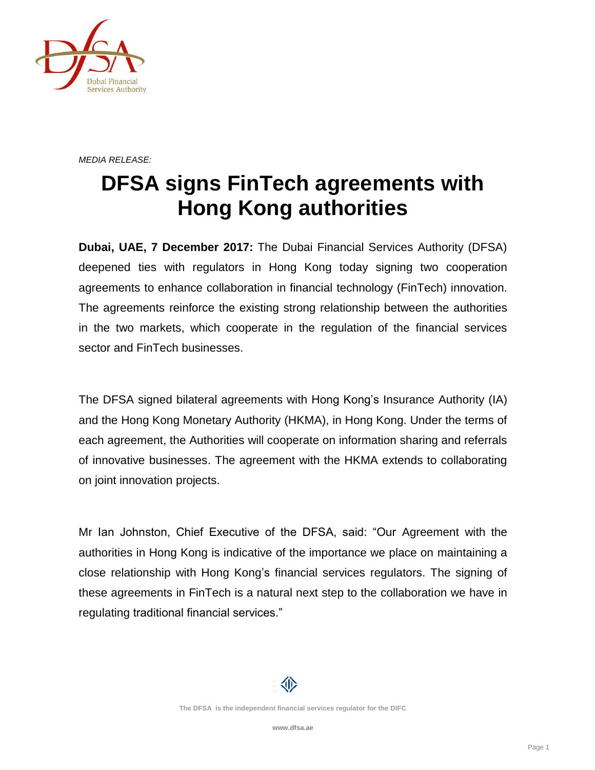

*MEDIA RELEASE:*

## **DFSA signs FinTech agreements with Hong Kong authorities**

**Dubai, UAE, 7 December 2017:** The Dubai Financial Services Authority (DFSA) deepened ties with regulators in Hong Kong today signing two cooperation agreements to enhance collaboration in financial technology (FinTech) innovation. The agreements reinforce the existing strong relationship between the authorities in the two markets, which cooperate in the regulation of the financial services sector and FinTech businesses.

The DFSA signed bilateral agreements with Hong Kong's Insurance Authority (IA) and the Hong Kong Monetary Authority (HKMA), in Hong Kong. Under the terms of each agreement, the Authorities will cooperate on information sharing and referrals of innovative businesses. The agreement with the HKMA extends to collaborating on joint innovation projects.

Mr Ian Johnston, Chief Executive of the DFSA, said: "Our Agreement with the authorities in Hong Kong is indicative of the importance we place on maintaining a close relationship with Hong Kong's financial services regulators. The signing of these agreements in FinTech is a natural next step to the collaboration we have in regulating traditional financial services."

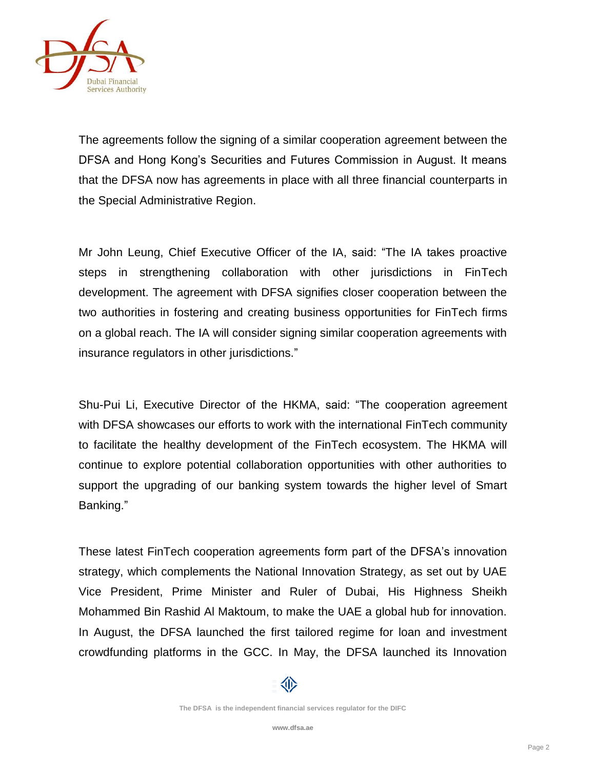

The agreements follow the signing of a similar cooperation agreement between the DFSA and Hong Kong's Securities and Futures Commission in August. It means that the DFSA now has agreements in place with all three financial counterparts in the Special Administrative Region.

Mr John Leung, Chief Executive Officer of the IA, said: "The IA takes proactive steps in strengthening collaboration with other jurisdictions in FinTech development. The agreement with DFSA signifies closer cooperation between the two authorities in fostering and creating business opportunities for FinTech firms on a global reach. The IA will consider signing similar cooperation agreements with insurance regulators in other jurisdictions."

Shu-Pui Li, Executive Director of the HKMA, said: "The cooperation agreement with DFSA showcases our efforts to work with the international FinTech community to facilitate the healthy development of the FinTech ecosystem. The HKMA will continue to explore potential collaboration opportunities with other authorities to support the upgrading of our banking system towards the higher level of Smart Banking."

These latest FinTech cooperation agreements form part of the DFSA's innovation strategy, which complements the National Innovation Strategy, as set out by UAE Vice President, Prime Minister and Ruler of Dubai, His Highness Sheikh Mohammed Bin Rashid Al Maktoum, to make the UAE a global hub for innovation. In August, the DFSA launched the first tailored regime for loan and investment crowdfunding platforms in the GCC. In May, the DFSA launched its Innovation

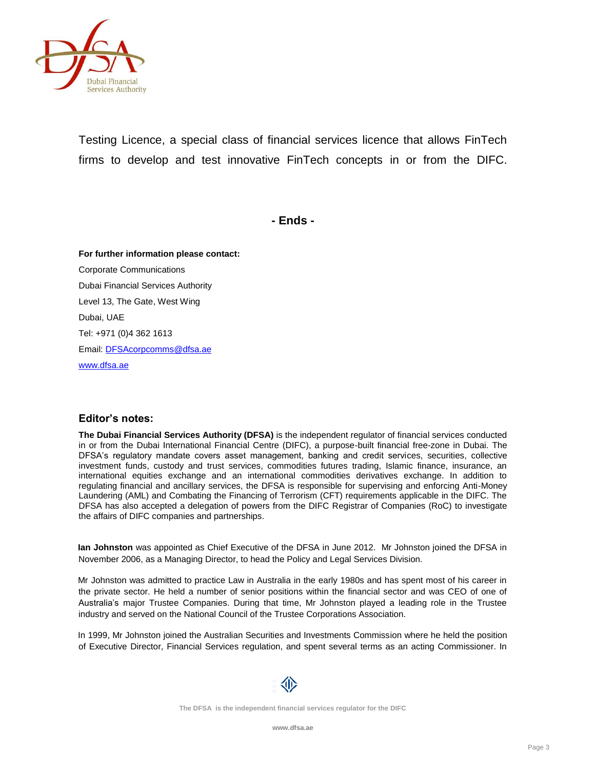

Testing Licence, a special class of financial services licence that allows FinTech firms to develop and test innovative FinTech concepts in or from the DIFC.

**- Ends -**

**For further information please contact:** Corporate Communications Dubai Financial Services Authority Level 13, The Gate, West Wing Dubai, UAE Tel: +971 (0)4 362 1613 Email[: DFSAcorpcomms@dfsa.ae](mailto:DFSAcorpcomms@dfsa.ae) [www.dfsa.ae](http://www.dfsa.ae/)

## **Editor's notes:**

**The Dubai Financial Services Authority (DFSA)** is the independent regulator of financial services conducted in or from the Dubai International Financial Centre (DIFC), a purpose-built financial free-zone in Dubai. The DFSA's regulatory mandate covers asset management, banking and credit services, securities, collective investment funds, custody and trust services, commodities futures trading, Islamic finance, insurance, an international equities exchange and an international commodities derivatives exchange. In addition to regulating financial and ancillary services, the DFSA is responsible for supervising and enforcing Anti-Money Laundering (AML) and Combating the Financing of Terrorism (CFT) requirements applicable in the DIFC. The DFSA has also accepted a delegation of powers from the DIFC Registrar of Companies (RoC) to investigate the affairs of DIFC companies and partnerships.

**Ian Johnston** was appointed as Chief Executive of the DFSA in June 2012. Mr Johnston joined the DFSA in November 2006, as a Managing Director, to head the Policy and Legal Services Division.

Mr Johnston was admitted to practice Law in Australia in the early 1980s and has spent most of his career in the private sector. He held a number of senior positions within the financial sector and was CEO of one of Australia's major Trustee Companies. During that time, Mr Johnston played a leading role in the Trustee industry and served on the National Council of the Trustee Corporations Association.

In 1999, Mr Johnston joined the Australian Securities and Investments Commission where he held the position of Executive Director, Financial Services regulation, and spent several terms as an acting Commissioner. In